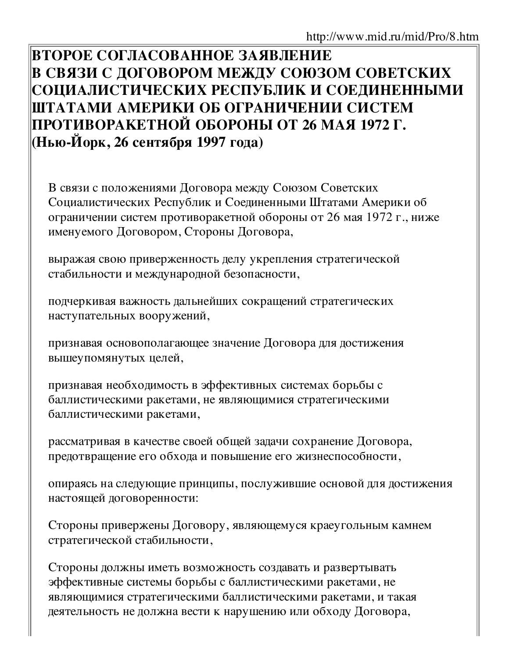ВТОРОЕ СОГЛАСОВАННОЕ ЗАЯВЛЕНИЕ В СВЯЗИ С ДОГОВОРОМ МЕЖДУ СОЮЗОМ СОВЕТСКИХ СОЦИАЛИСТИЧЕСКИХ РЕСПУБЛИК И СОЕДИНЕННЫМИ ШТАТАМИ АМЕРИКИ ОБ ОГРАНИЧЕНИИ СИСТЕМ |ПРОТИВОРАКЕТНОЙ ОБОРОНЫ ОТ 26 МАЯ 1972 Г. (Нью-Йорк, 26 сентября 1997 года)

В связи с положениями Договора между Союзом Советских Социалистических Республик и Соединенными Штатами Америки об ограничении систем противоракетной обороны от 26 мая 1972 г., ниже именуемого Договором, Стороны Договора,

выражая свою приверженность делу укрепления стратегической стабильности и международной безопасности,

подчеркивая важность дальнейших сокращений стратегических наступательных вооружений,

признавая основополагающее значение Договора для достижения вышеупомянутых целей,

признавая необходимость в эффективных системах борьбы с баллистическими ракетами, не являющимися стратегическими баллистическими ракетами,

рассматривая в качестве своей общей задачи сохранение Договора, предотвращение его обхода и повышение его жизнеспособности,

опираясь на следующие принципы, послужившие основой для достижения настоящей договоренности:

Стороны привержены Договору, являющемуся краеугольным камнем стратегической стабильности,

Стороны должны иметь возможность создавать и развертывать эффективные системы борьбы с баллистическими ракетами, не являющимися стратегическими баллистическими ракетами, и такая деятельность не должна вести к нарушению или обходу Договора,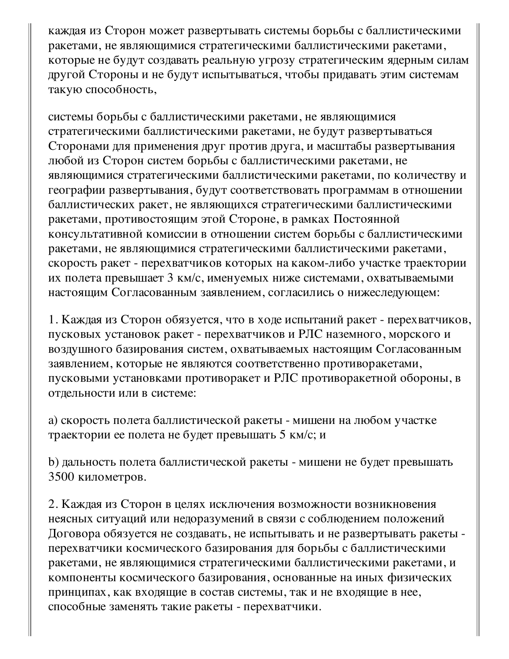каждая из Сторон может развертывать системы борьбы с баллистическими ракетами, не являющимися стратегическими баллистическими ракетами, которые не будут создавать реальную угрозу стратегическим ядерным силам другой Стороны и не будут испытываться, чтобы придавать этим системам такую способность,

системы борьбы с баллистическими ракетами, не являющимися стратегическими баллистическими ракетами, не будут развертываться Сторонами для применения друг против друга, и масштабы развертывания любой из Сторон систем борьбы с баллистическими ракетами, не являющимися стратегическими баллистическими ракетами, по количеству и географии развертывания, будут соответствовать программам в отношении баллистических ракет, не являющихся стратегическими баллистическими ракетами, противостоящим этой Стороне, в рамках Постоянной консультативной комиссии в отношении систем борьбы с баллистическими ракетами, не являющимися стратегическими баллистическими ракетами, скорость ракет - перехватчиков которых на каком-либо участке траектории их полета превышает 3 км/с, именуемых ниже системами, охватываемыми настоящим Согласованным заявлением, согласились о нижеследующем:

1. Каждая из Сторон обязуется, что в ходе испытаний ракет - перехватчиков, пусковых установок ракет - перехватчиков и РЛС наземного, морского и воздушного базирования систем, охватываемых настоящим Согласованным заявлением, которые не являются соответственно противоракетами, пусковыми установками противоракет и РЛС противоракетной обороны, в отдельности или в системе:

а) скорость полета баллистической ракеты - мишени на любом участке траектории ее полета не будет превышать 5 км/с; и

b) дальность полета баллистической ракеты - мишени не будет превышать 3500 километров.

2. Каждая из Сторон в целях исключения возможности возникновения неясных ситуаций или недоразумений в связи с соблюдением положений Договора обязуется не создавать, не испытывать и не развертывать ракеты перехватчики космического базирования для борьбы с баллистическими ракетами, не являющимися стратегическими баллистическими ракетами, и компоненты космического базирования, основанные на иных физических принципах, как входящие в состав системы, так и не входящие в нее, способные заменять такие ракеты - перехватчики.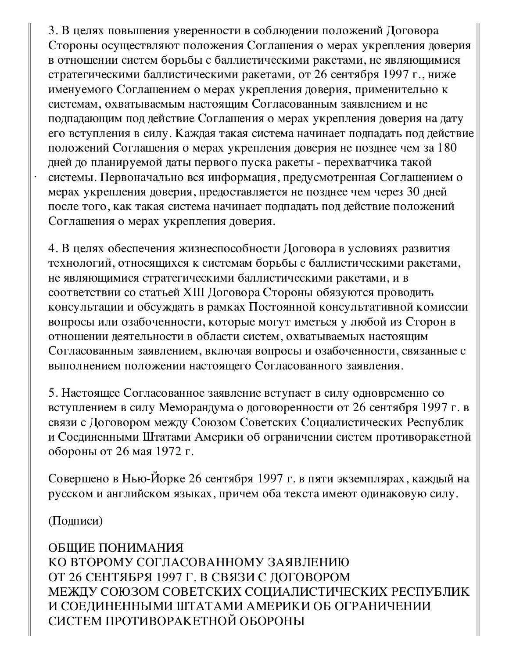3. В целях повышения уверенности в соблюдении положений Договора Стороны осуществляют положения Соглашения о мерах укрепления доверия в отношении систем борьбы с баллистическими ракетами, не являющимися стратегическими баллистическими ракетами, от 26 сентября 1997 г., ниже именуемого Соглашением о мерах укрепления доверия, применительно к системам, охватываемым настоящим Согласованным заявлением и не подпадающим под действие Соглашения о мерах укрепления доверия на дату его вступления в силу. Каждая такая система начинает подпадать под действие положений Соглашения о мерах укрепления доверия не позднее чем за 180 дней до планируемой даты первого пуска ракеты - перехватчика такой системы. Первоначально вся информация, предусмотренная Соглашением о мерах укрепления доверия, предоставляется не позднее чем через 30 дней после того, как такая система начинает подпадать под действие положений Соглашения о мерах укрепления доверия.

4. В целях обеспечения жизнеспособности Договора в условиях развития технологий, относящихся к системам борьбы с баллистическими ракетами, не являющимися стратегическими баллистическими ракетами, и в соответствии со статьей XIII Договора Стороны обязуются проводить консультации и обсуждать в рамках Постоянной консультативной комиссии вопросы или озабоченности, которые могут иметься у любой из Сторон в отношении деятельности в области систем, охватываемых настоящим Согласованным заявлением, включая вопросы и озабоченности, связанные с выполнением положении настоящего Согласованного заявления.

5. Настоящее Согласованное заявление вступает в силу одновременно со вступлением в силу Меморандума о договоренности от 26 сентября 1997 г. в связи с Договором между Союзом Советских Социалистических Республик и Соединенными Штатами Америки об ограничении систем противоракетной обороны от 26 мая 1972 г.

Совершено в Нью-Йорке 26 сентября 1997 г. в пяти экземплярах, каждый на русском и английском языках, причем оба текста имеют одинаковую силу.

(Подписи)

ОБЩИЕ ПОНИМАНИЯ КО ВТОРОМУ СОГЛАСОВАННОМУ ЗАЯВЛЕНИЮ ОТ 26 СЕНТЯБРЯ 1997 Г. В СВЯЗИ С ДОГОВОРОМ МЕЖДУ СОЮЗОМ СОВЕТСКИХ СОЦИАЛИСТИЧЕСКИХ РЕСПУБЛИК И СОЕДИНЕННЫМИ ШТАТАМИ АМЕРИКИ ОБ ОГРАНИЧЕНИИ СИСТЕМ ПРОТИВОРАКЕТНОЙ ОБОРОНЫ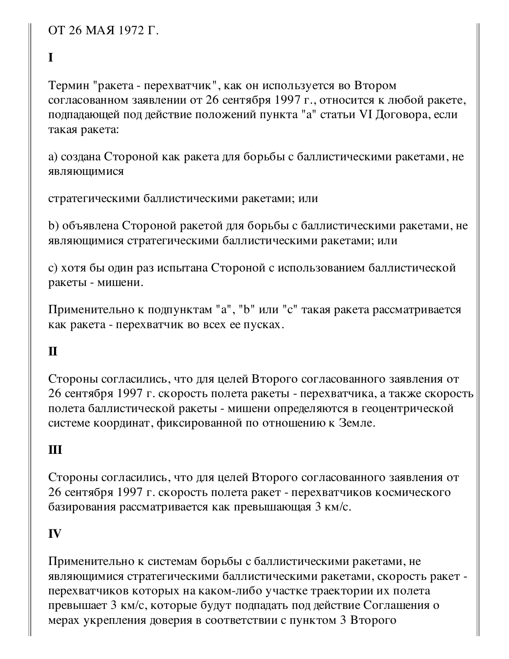ОТ 26 МАЯ 1972 Г.

## $\mathbf I$

Термин "ракета - перехватчик", как он используется во Втором согласованном заявлении от 26 сентября 1997 г., относится к любой ракете, подпадающей под действие положений пункта "а" статьи VI Договора, если такая ракета:

а) создана Стороной как ракета для борьбы с баллистическими ракетами, не являющимися

стратегическими баллистическими ракетами; или

b) объявлена Стороной ракетой для борьбы с баллистическими ракетами, не являющимися стратегическими баллистическими ракетами; или

с) хотя бы один раз испытана Стороной с использованием баллистической ракеты - мишени.

Применительно к подпунктам "а", "b" или "с" такая ракета рассматривается как ракета - перехватчик во всех ее пусках.

## $\mathbf{I}$

Стороны согласились, что для целей Второго согласованного заявления от 26 сентября 1997 г. скорость полета ракеты - перехватчика, а также скорость полета баллистической ракеты - мишени определяются в геоцентрической системе координат, фиксированной по отношению к Земле.

## Ш

Стороны согласились, что для целей Второго согласованного заявления от 26 сентября 1997 г. скорость полета ракет - перехватчиков космического базирования рассматривается как превышающая 3 км/с.

## IV

Применительно к системам борьбы с баллистическими ракетами, не являющимися стратегическими баллистическими ракетами, скорость ракет перехватчиков которых на каком-либо участке траектории их полета превышает 3 км/с, которые будут подпадать под действие Соглашения о мерах укрепления доверия в соответствии с пунктом 3 Второго